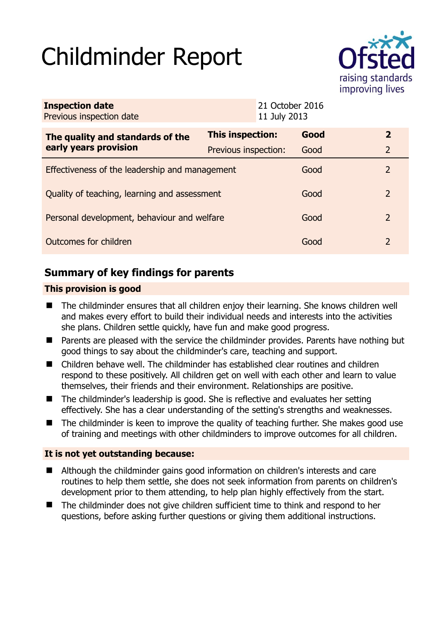# Childminder Report



| <b>Inspection date</b><br>Previous inspection date        |                      | 21 October 2016<br>11 July 2013 |                |
|-----------------------------------------------------------|----------------------|---------------------------------|----------------|
| The quality and standards of the<br>early years provision | This inspection:     | Good                            | $\overline{2}$ |
|                                                           | Previous inspection: | Good                            | 2              |
| Effectiveness of the leadership and management            |                      | Good                            | 2              |
| Quality of teaching, learning and assessment              |                      | Good                            | $\overline{2}$ |
| Personal development, behaviour and welfare               |                      | Good                            | 2              |
| Outcomes for children                                     |                      | Good                            | 2              |

# **Summary of key findings for parents**

## **This provision is good**

- The childminder ensures that all children enjoy their learning. She knows children well and makes every effort to build their individual needs and interests into the activities she plans. Children settle quickly, have fun and make good progress.
- Parents are pleased with the service the childminder provides. Parents have nothing but good things to say about the childminder's care, teaching and support.
- Children behave well. The childminder has established clear routines and children respond to these positively. All children get on well with each other and learn to value themselves, their friends and their environment. Relationships are positive.
- The childminder's leadership is good. She is reflective and evaluates her setting effectively. She has a clear understanding of the setting's strengths and weaknesses.
- $\blacksquare$  The childminder is keen to improve the quality of teaching further. She makes good use of training and meetings with other childminders to improve outcomes for all children.

#### **It is not yet outstanding because:**

- Although the childminder gains good information on children's interests and care routines to help them settle, she does not seek information from parents on children's development prior to them attending, to help plan highly effectively from the start.
- The childminder does not give children sufficient time to think and respond to her questions, before asking further questions or giving them additional instructions.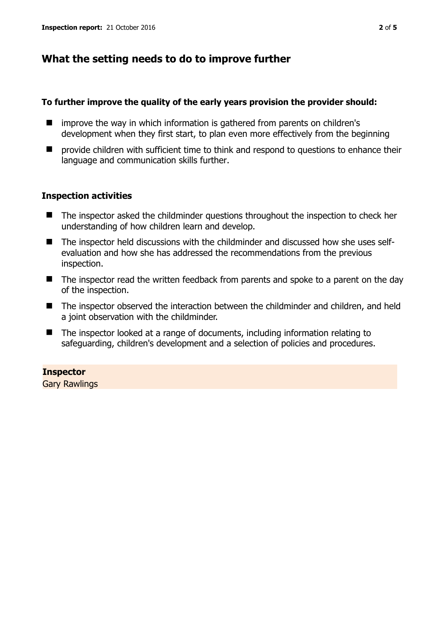## **What the setting needs to do to improve further**

#### **To further improve the quality of the early years provision the provider should:**

- improve the way in which information is gathered from parents on children's development when they first start, to plan even more effectively from the beginning
- $\blacksquare$  provide children with sufficient time to think and respond to questions to enhance their language and communication skills further.

#### **Inspection activities**

- The inspector asked the childminder questions throughout the inspection to check her understanding of how children learn and develop.
- The inspector held discussions with the childminder and discussed how she uses selfevaluation and how she has addressed the recommendations from the previous inspection.
- The inspector read the written feedback from parents and spoke to a parent on the day of the inspection.
- The inspector observed the interaction between the childminder and children, and held a joint observation with the childminder.
- The inspector looked at a range of documents, including information relating to safeguarding, children's development and a selection of policies and procedures.

#### **Inspector**

Gary Rawlings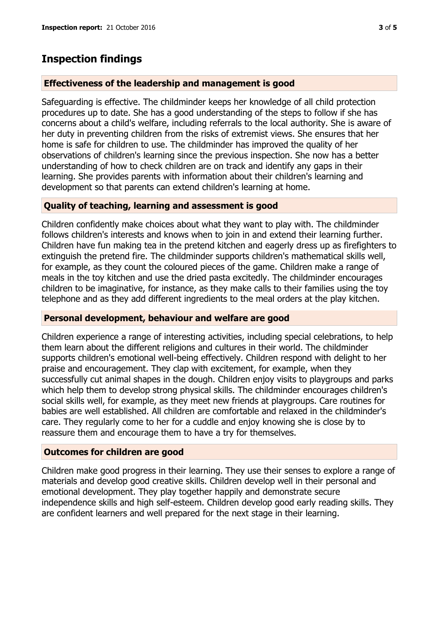## **Inspection findings**

#### **Effectiveness of the leadership and management is good**

Safeguarding is effective. The childminder keeps her knowledge of all child protection procedures up to date. She has a good understanding of the steps to follow if she has concerns about a child's welfare, including referrals to the local authority. She is aware of her duty in preventing children from the risks of extremist views. She ensures that her home is safe for children to use. The childminder has improved the quality of her observations of children's learning since the previous inspection. She now has a better understanding of how to check children are on track and identify any gaps in their learning. She provides parents with information about their children's learning and development so that parents can extend children's learning at home.

#### **Quality of teaching, learning and assessment is good**

Children confidently make choices about what they want to play with. The childminder follows children's interests and knows when to join in and extend their learning further. Children have fun making tea in the pretend kitchen and eagerly dress up as firefighters to extinguish the pretend fire. The childminder supports children's mathematical skills well, for example, as they count the coloured pieces of the game. Children make a range of meals in the toy kitchen and use the dried pasta excitedly. The childminder encourages children to be imaginative, for instance, as they make calls to their families using the toy telephone and as they add different ingredients to the meal orders at the play kitchen.

#### **Personal development, behaviour and welfare are good**

Children experience a range of interesting activities, including special celebrations, to help them learn about the different religions and cultures in their world. The childminder supports children's emotional well-being effectively. Children respond with delight to her praise and encouragement. They clap with excitement, for example, when they successfully cut animal shapes in the dough. Children enjoy visits to playgroups and parks which help them to develop strong physical skills. The childminder encourages children's social skills well, for example, as they meet new friends at playgroups. Care routines for babies are well established. All children are comfortable and relaxed in the childminder's care. They regularly come to her for a cuddle and enjoy knowing she is close by to reassure them and encourage them to have a try for themselves.

## **Outcomes for children are good**

Children make good progress in their learning. They use their senses to explore a range of materials and develop good creative skills. Children develop well in their personal and emotional development. They play together happily and demonstrate secure independence skills and high self-esteem. Children develop good early reading skills. They are confident learners and well prepared for the next stage in their learning.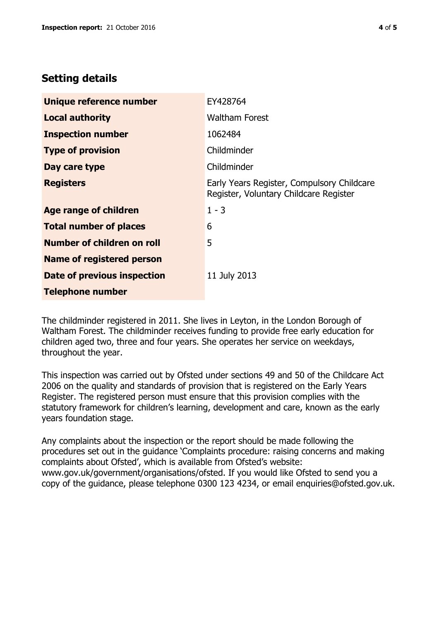## **Setting details**

| Unique reference number          | EY428764                                                                             |  |
|----------------------------------|--------------------------------------------------------------------------------------|--|
| <b>Local authority</b>           | <b>Waltham Forest</b>                                                                |  |
| <b>Inspection number</b>         | 1062484                                                                              |  |
| <b>Type of provision</b>         | Childminder                                                                          |  |
| Day care type                    | Childminder                                                                          |  |
| <b>Registers</b>                 | Early Years Register, Compulsory Childcare<br>Register, Voluntary Childcare Register |  |
| Age range of children            | $1 - 3$                                                                              |  |
| <b>Total number of places</b>    | 6                                                                                    |  |
| Number of children on roll       | 5                                                                                    |  |
| <b>Name of registered person</b> |                                                                                      |  |
| Date of previous inspection      | 11 July 2013                                                                         |  |
| <b>Telephone number</b>          |                                                                                      |  |

The childminder registered in 2011. She lives in Leyton, in the London Borough of Waltham Forest. The childminder receives funding to provide free early education for children aged two, three and four years. She operates her service on weekdays, throughout the year.

This inspection was carried out by Ofsted under sections 49 and 50 of the Childcare Act 2006 on the quality and standards of provision that is registered on the Early Years Register. The registered person must ensure that this provision complies with the statutory framework for children's learning, development and care, known as the early years foundation stage.

Any complaints about the inspection or the report should be made following the procedures set out in the guidance 'Complaints procedure: raising concerns and making complaints about Ofsted', which is available from Ofsted's website: www.gov.uk/government/organisations/ofsted. If you would like Ofsted to send you a copy of the guidance, please telephone 0300 123 4234, or email enquiries@ofsted.gov.uk.